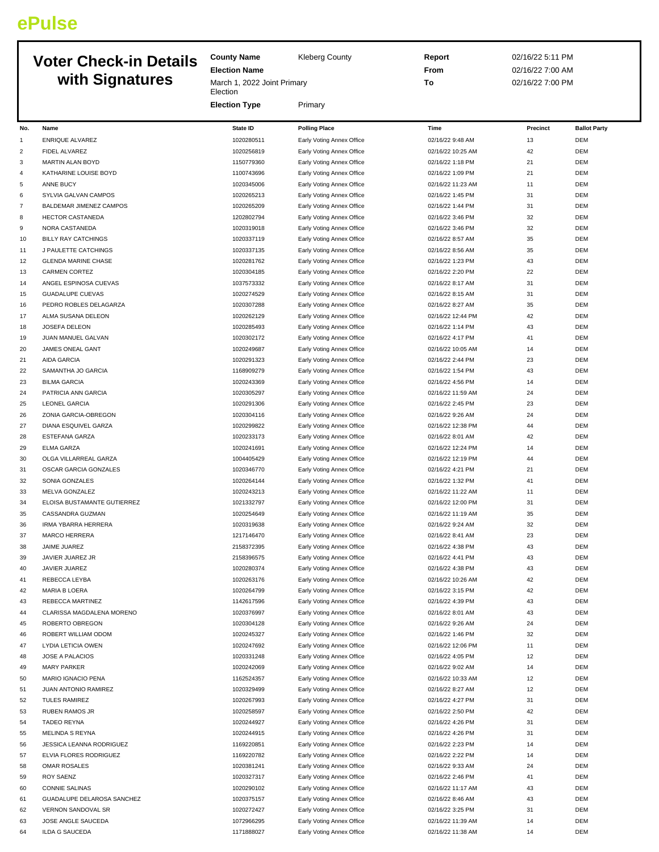## **ePulse**

## **Voter C with**

| <b>Voter Check-in Details</b> |                                               | <b>County Name</b><br><b>Kleberg County</b>         |                                                        | Report                                 | 02/16/22 5:11 PM                     |                          |
|-------------------------------|-----------------------------------------------|-----------------------------------------------------|--------------------------------------------------------|----------------------------------------|--------------------------------------|--------------------------|
|                               | with Signatures                               | <b>Election Name</b><br>March 1, 2022 Joint Primary |                                                        | From<br>To                             | 02/16/22 7:00 AM<br>02/16/22 7:00 PM |                          |
|                               |                                               | Election<br><b>Election Type</b>                    | Primary                                                |                                        |                                      |                          |
| No.                           | Name                                          | <b>State ID</b>                                     | <b>Polling Place</b>                                   | Time                                   | Precinct                             | <b>Ballot Party</b>      |
| $\mathbf{1}$                  | <b>ENRIQUE ALVAREZ</b>                        | 1020280511                                          | Early Voting Annex Office                              | 02/16/22 9:48 AM                       | 13                                   | <b>DEM</b>               |
| 2                             | FIDEL ALVAREZ                                 | 1020256819                                          | Early Voting Annex Office                              | 02/16/22 10:25 AM                      | 42                                   | <b>DEM</b>               |
| 3                             | <b>MARTIN ALAN BOYD</b>                       | 1150779360                                          | Early Voting Annex Office                              | 02/16/22 1:18 PM                       | 21                                   | <b>DEM</b>               |
| 4                             | KATHARINE LOUISE BOYD                         | 1100743696                                          | Early Voting Annex Office                              | 02/16/22 1:09 PM                       | 21                                   | <b>DEM</b>               |
| 5                             | ANNE BUCY                                     | 1020345006                                          | Early Voting Annex Office                              | 02/16/22 11:23 AM                      | 11                                   | <b>DEM</b>               |
| 6                             | SYLVIA GALVAN CAMPOS                          | 1020265213                                          | Early Voting Annex Office                              | 02/16/22 1:45 PM                       | 31                                   | <b>DEM</b>               |
| $\overline{7}$                | <b>BALDEMAR JIMENEZ CAMPOS</b>                | 1020265209                                          | Early Voting Annex Office                              | 02/16/22 1:44 PM                       | 31                                   | <b>DEM</b>               |
| 8                             | HECTOR CASTANEDA                              | 1202802794                                          | Early Voting Annex Office                              | 02/16/22 3:46 PM                       | 32                                   | <b>DEM</b>               |
| 9                             | NORA CASTANEDA                                | 1020319018                                          | Early Voting Annex Office                              | 02/16/22 3:46 PM                       | 32                                   | <b>DEM</b>               |
| 10                            | <b>BILLY RAY CATCHINGS</b>                    | 1020337119                                          | Early Voting Annex Office                              | 02/16/22 8:57 AM                       | 35                                   | <b>DEM</b>               |
| 11                            | J PAULETTE CATCHINGS                          | 1020337135                                          | Early Voting Annex Office                              | 02/16/22 8:56 AM                       | 35                                   | <b>DEM</b>               |
| 12                            | <b>GLENDA MARINE CHASE</b>                    | 1020281762                                          | Early Voting Annex Office<br>Early Voting Annex Office | 02/16/22 1:23 PM                       | 43                                   | <b>DEM</b>               |
| 13<br>14                      | <b>CARMEN CORTEZ</b><br>ANGEL ESPINOSA CUEVAS | 1020304185<br>1037573332                            | Early Voting Annex Office                              | 02/16/22 2:20 PM<br>02/16/22 8:17 AM   | 22<br>31                             | <b>DEM</b><br><b>DEM</b> |
| 15                            | <b>GUADALUPE CUEVAS</b>                       | 1020274529                                          | Early Voting Annex Office                              | 02/16/22 8:15 AM                       | 31                                   | <b>DEM</b>               |
| 16                            | PEDRO ROBLES DELAGARZA                        | 1020307288                                          | Early Voting Annex Office                              | 02/16/22 8:27 AM                       | 35                                   | <b>DEM</b>               |
| 17                            | ALMA SUSANA DELEON                            | 1020262129                                          | Early Voting Annex Office                              | 02/16/22 12:44 PM                      | 42                                   | <b>DEM</b>               |
| 18                            | JOSEFA DELEON                                 | 1020285493                                          | Early Voting Annex Office                              | 02/16/22 1:14 PM                       | 43                                   | <b>DEM</b>               |
| 19                            | JUAN MANUEL GALVAN                            | 1020302172                                          | Early Voting Annex Office                              | 02/16/22 4:17 PM                       | 41                                   | <b>DEM</b>               |
| 20                            | JAMES ONEAL GANT                              | 1020249687                                          | Early Voting Annex Office                              | 02/16/22 10:05 AM                      | 14                                   | <b>DEM</b>               |
| 21                            | <b>AIDA GARCIA</b>                            | 1020291323                                          | Early Voting Annex Office                              | 02/16/22 2:44 PM                       | 23                                   | <b>DEM</b>               |
| 22                            | SAMANTHA JO GARCIA                            | 1168909279                                          | Early Voting Annex Office                              | 02/16/22 1:54 PM                       | 43                                   | <b>DEM</b>               |
| 23                            | <b>BILMA GARCIA</b>                           | 1020243369                                          | Early Voting Annex Office                              | 02/16/22 4:56 PM                       | 14                                   | <b>DEM</b>               |
| 24                            | PATRICIA ANN GARCIA                           | 1020305297                                          | Early Voting Annex Office                              | 02/16/22 11:59 AM                      | 24                                   | <b>DEM</b>               |
| 25                            | <b>LEONEL GARCIA</b>                          | 1020291306                                          | Early Voting Annex Office                              | 02/16/22 2:45 PM                       | 23                                   | <b>DEM</b>               |
| 26                            | ZONIA GARCIA-OBREGON                          | 1020304116                                          | Early Voting Annex Office                              | 02/16/22 9:26 AM                       | 24                                   | <b>DEM</b>               |
| 27                            | DIANA ESQUIVEL GARZA                          | 1020299822                                          | Early Voting Annex Office                              | 02/16/22 12:38 PM                      | 44                                   | <b>DEM</b>               |
| 28                            | ESTEFANA GARZA                                | 1020233173                                          | Early Voting Annex Office                              | 02/16/22 8:01 AM                       | 42                                   | <b>DEM</b>               |
| 29                            | ELMA GARZA                                    | 1020241691                                          | Early Voting Annex Office                              | 02/16/22 12:24 PM                      | 14                                   | <b>DEM</b>               |
| 30                            | OLGA VILLARREAL GARZA                         | 1004405429                                          | Early Voting Annex Office                              | 02/16/22 12:19 PM                      | 44                                   | <b>DEM</b>               |
| 31                            | OSCAR GARCIA GONZALES                         | 1020346770                                          | Early Voting Annex Office                              | 02/16/22 4:21 PM                       | 21                                   | <b>DEM</b>               |
| 32                            | SONIA GONZALES                                | 1020264144<br>1020243213                            | Early Voting Annex Office                              | 02/16/22 1:32 PM                       | 41                                   | <b>DEM</b><br><b>DEM</b> |
| 33<br>34                      | MELVA GONZALEZ<br>ELOISA BUSTAMANTE GUTIERREZ | 1021332797                                          | Early Voting Annex Office                              | 02/16/22 11:22 AM<br>02/16/22 12:00 PM | 11<br>31                             | <b>DEM</b>               |
| 35                            | CASSANDRA GUZMAN                              | 1020254649                                          | Early Voting Annex Office<br>Early Voting Annex Office | 02/16/22 11:19 AM                      | 35                                   | <b>DEM</b>               |
| 36                            | <b>IRMA YBARRA HERRERA</b>                    | 1020319638                                          | Early Voting Annex Office                              | 02/16/22 9:24 AM                       | 32                                   | <b>DEM</b>               |
| 37                            | MARCO HERRERA                                 | 1217146470                                          | Early Voting Annex Office                              | 02/16/22 8:41 AM                       | 23                                   | DEM                      |
| 38                            | JAIME JUAREZ                                  | 2158372395                                          | Early Voting Annex Office                              | 02/16/22 4:38 PM                       | 43                                   | <b>DEM</b>               |
| 39                            | JAVIER JUAREZ JR                              | 2158396575                                          | Early Voting Annex Office                              | 02/16/22 4:41 PM                       | 43                                   | <b>DEM</b>               |
| 40                            | JAVIER JUAREZ                                 | 1020280374                                          | Early Voting Annex Office                              | 02/16/22 4:38 PM                       | 43                                   | <b>DEM</b>               |
| 41                            | REBECCA LEYBA                                 | 1020263176                                          | Early Voting Annex Office                              | 02/16/22 10:26 AM                      | 42                                   | <b>DEM</b>               |
| 42                            | <b>MARIA B LOERA</b>                          | 1020264799                                          | Early Voting Annex Office                              | 02/16/22 3:15 PM                       | 42                                   | <b>DEM</b>               |
| 43                            | REBECCA MARTINEZ                              | 1142617596                                          | Early Voting Annex Office                              | 02/16/22 4:39 PM                       | 43                                   | <b>DEM</b>               |
| 44                            | CLARISSA MAGDALENA MORENO                     | 1020376997                                          | Early Voting Annex Office                              | 02/16/22 8:01 AM                       | 43                                   | <b>DEM</b>               |
| 45                            | ROBERTO OBREGON                               | 1020304128                                          | Early Voting Annex Office                              | 02/16/22 9:26 AM                       | 24                                   | <b>DEM</b>               |
| 46                            | ROBERT WILLIAM ODOM                           | 1020245327                                          | Early Voting Annex Office                              | 02/16/22 1:46 PM                       | 32                                   | <b>DEM</b>               |
| 47                            | LYDIA LETICIA OWEN                            | 1020247692                                          | Early Voting Annex Office                              | 02/16/22 12:06 PM                      | 11                                   | <b>DEM</b>               |
| 48                            | JOSE A PALACIOS                               | 1020331248                                          | Early Voting Annex Office                              | 02/16/22 4:05 PM                       | 12                                   | <b>DEM</b>               |
| 49                            | <b>MARY PARKER</b>                            | 1020242069                                          | Early Voting Annex Office                              | 02/16/22 9:02 AM                       | 14                                   | <b>DEM</b>               |
| 50                            | MARIO IGNACIO PENA                            | 1162524357                                          | Early Voting Annex Office                              | 02/16/22 10:33 AM                      | 12                                   | <b>DEM</b>               |
| 51                            | JUAN ANTONIO RAMIREZ                          | 1020329499                                          | Early Voting Annex Office                              | 02/16/22 8:27 AM                       | 12                                   | <b>DEM</b>               |
| 52                            | <b>TULES RAMIREZ</b>                          | 1020267993                                          | Early Voting Annex Office                              | 02/16/22 4:27 PM                       | 31                                   | <b>DEM</b>               |
| 53                            | RUBEN RAMOS JR                                | 1020258597                                          | Early Voting Annex Office                              | 02/16/22 2:50 PM                       | 42                                   | <b>DEM</b>               |
| 54                            | <b>TADEO REYNA</b>                            | 1020244927<br>1020244915                            | Early Voting Annex Office<br>Early Voting Annex Office | 02/16/22 4:26 PM<br>02/16/22 4:26 PM   | 31<br>31                             | <b>DEM</b><br><b>DEM</b> |
| 55<br>56                      | MELINDA S REYNA<br>JESSICA LEANNA RODRIGUEZ   | 1169220851                                          | Early Voting Annex Office                              | 02/16/22 2:23 PM                       | 14                                   | <b>DEM</b>               |
| 57                            | ELVIA FLORES RODRIGUEZ                        | 1169220782                                          | Early Voting Annex Office                              | 02/16/22 2:22 PM                       | 14                                   | <b>DEM</b>               |
| 58                            | <b>OMAR ROSALES</b>                           | 1020381241                                          | Early Voting Annex Office                              | 02/16/22 9:33 AM                       | 24                                   | <b>DEM</b>               |
| 59                            | <b>ROY SAENZ</b>                              | 1020327317                                          | Early Voting Annex Office                              | 02/16/22 2:46 PM                       | 41                                   | <b>DEM</b>               |
| 60                            | <b>CONNIE SALINAS</b>                         | 1020290102                                          | Early Voting Annex Office                              | 02/16/22 11:17 AM                      | 43                                   | <b>DEM</b>               |
| 61                            | GUADALUPE DELAROSA SANCHEZ                    | 1020375157                                          | Early Voting Annex Office                              | 02/16/22 8:46 AM                       | 43                                   | <b>DEM</b>               |
| 62                            | VERNON SANDOVAL SR                            | 1020272427                                          | Early Voting Annex Office                              | 02/16/22 3:25 PM                       | 31                                   | <b>DEM</b>               |
| 63                            | JOSE ANGLE SAUCEDA                            | 1072966295                                          | Early Voting Annex Office                              | 02/16/22 11:39 AM                      | 14                                   | <b>DEM</b>               |
| 64                            | <b>ILDA G SAUCEDA</b>                         | 1171888027                                          | Early Voting Annex Office                              | 02/16/22 11:38 AM                      | 14                                   | <b>DEM</b>               |